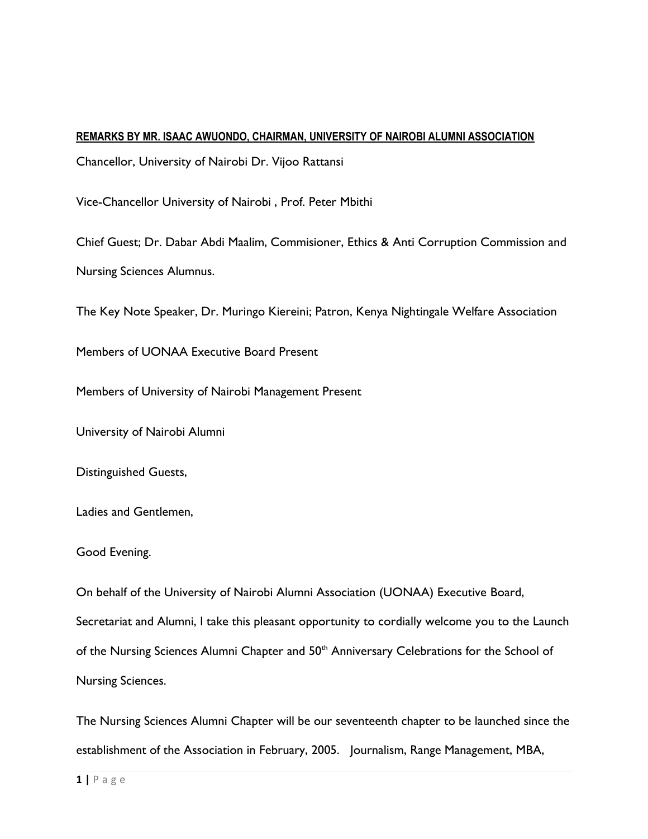## **REMARKS BY MR. ISAAC AWUONDO, CHAIRMAN, UNIVERSITY OF NAIROBI ALUMNI ASSOCIATION**

Chancellor, University of Nairobi Dr. Vijoo Rattansi

Vice-Chancellor University of Nairobi , Prof. Peter Mbithi

Chief Guest; Dr. Dabar Abdi Maalim, Commisioner, Ethics & Anti Corruption Commission and Nursing Sciences Alumnus.

The Key Note Speaker, Dr. Muringo Kiereini; Patron, Kenya Nightingale Welfare Association

Members of UONAA Executive Board Present

Members of University of Nairobi Management Present

University of Nairobi Alumni

Distinguished Guests,

Ladies and Gentlemen,

## Good Evening.

On behalf of the University of Nairobi Alumni Association (UONAA) Executive Board, Secretariat and Alumni, I take this pleasant opportunity to cordially welcome you to the Launch of the Nursing Sciences Alumni Chapter and 50<sup>th</sup> Anniversary Celebrations for the School of Nursing Sciences.

The Nursing Sciences Alumni Chapter will be our seventeenth chapter to be launched since the establishment of the Association in February, 2005. Journalism, Range Management, MBA,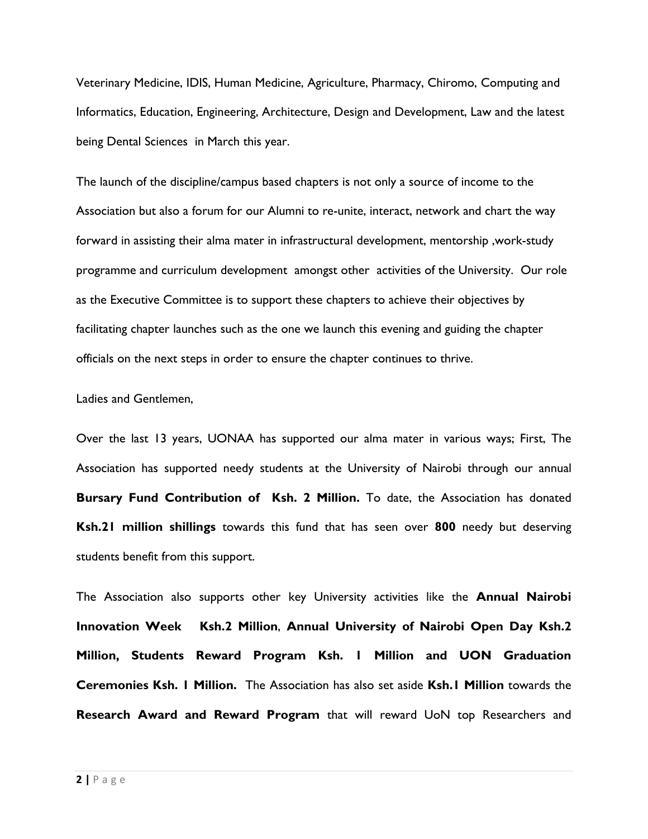Veterinary Medicine, IDIS, Human Medicine, Agriculture, Pharmacy, Chiromo, Computing and Informatics, Education, Engineering, Architecture, Design and Development, Law and the latest being Dental Sciences in March this year.

The launch of the discipline/campus based chapters is not only a source of income to the Association but also a forum for our Alumni to re-unite, interact, network and chart the way forward in assisting their alma mater in infrastructural development, mentorship ,work-study programme and curriculum development amongst other activities of the University. Our role as the Executive Committee is to support these chapters to achieve their objectives by facilitating chapter launches such as the one we launch this evening and guiding the chapter officials on the next steps in order to ensure the chapter continues to thrive.

Ladies and Gentlemen,

Over the last 13 years, UONAA has supported our alma mater in various ways; First, The Association has supported needy students at the University of Nairobi through our annual **Bursary Fund Contribution of Ksh. 2 Million.** To date, the Association has donated **Ksh.21 million shillings** towards this fund that has seen over **800** needy but deserving students benefit from this support.

The Association also supports other key University activities like the **Annual Nairobi Innovation Week Ksh.2 Million**, **Annual University of Nairobi Open Day Ksh.2 Million, Students Reward Program Ksh. 1 Million and UON Graduation Ceremonies Ksh. 1 Million.** The Association has also set aside **Ksh.1 Million** towards the **Research Award and Reward Program** that will reward UoN top Researchers and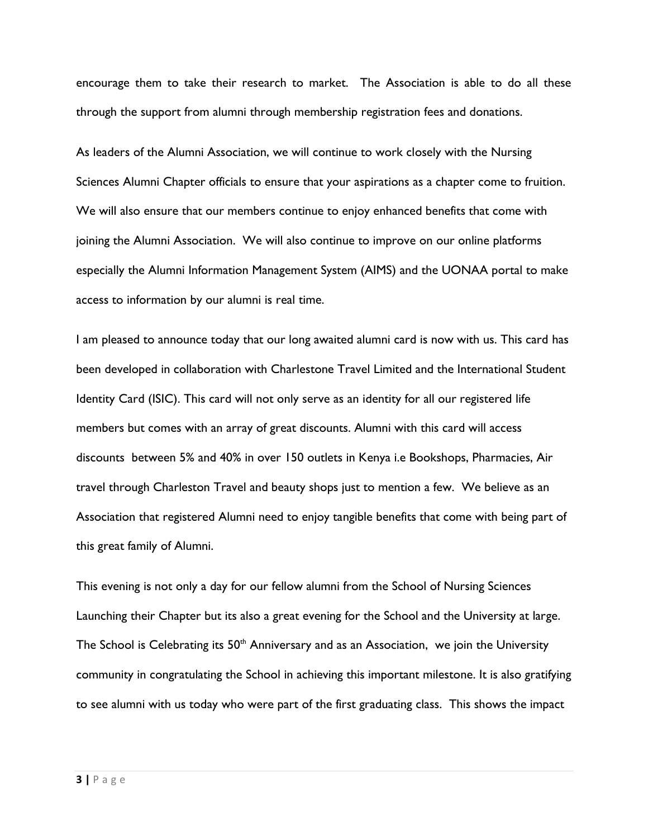encourage them to take their research to market. The Association is able to do all these through the support from alumni through membership registration fees and donations.

As leaders of the Alumni Association, we will continue to work closely with the Nursing Sciences Alumni Chapter officials to ensure that your aspirations as a chapter come to fruition. We will also ensure that our members continue to enjoy enhanced benefits that come with joining the Alumni Association. We will also continue to improve on our online platforms especially the Alumni Information Management System (AIMS) and the UONAA portal to make access to information by our alumni is real time.

I am pleased to announce today that our long awaited alumni card is now with us. This card has been developed in collaboration with Charlestone Travel Limited and the International Student Identity Card (ISIC). This card will not only serve as an identity for all our registered life members but comes with an array of great discounts. Alumni with this card will access discounts between 5% and 40% in over 150 outlets in Kenya i.e Bookshops, Pharmacies, Air travel through Charleston Travel and beauty shops just to mention a few. We believe as an Association that registered Alumni need to enjoy tangible benefits that come with being part of this great family of Alumni.

This evening is not only a day for our fellow alumni from the School of Nursing Sciences Launching their Chapter but its also a great evening for the School and the University at large. The School is Celebrating its  $50<sup>th</sup>$  Anniversary and as an Association, we join the University community in congratulating the School in achieving this important milestone. It is also gratifying to see alumni with us today who were part of the first graduating class. This shows the impact